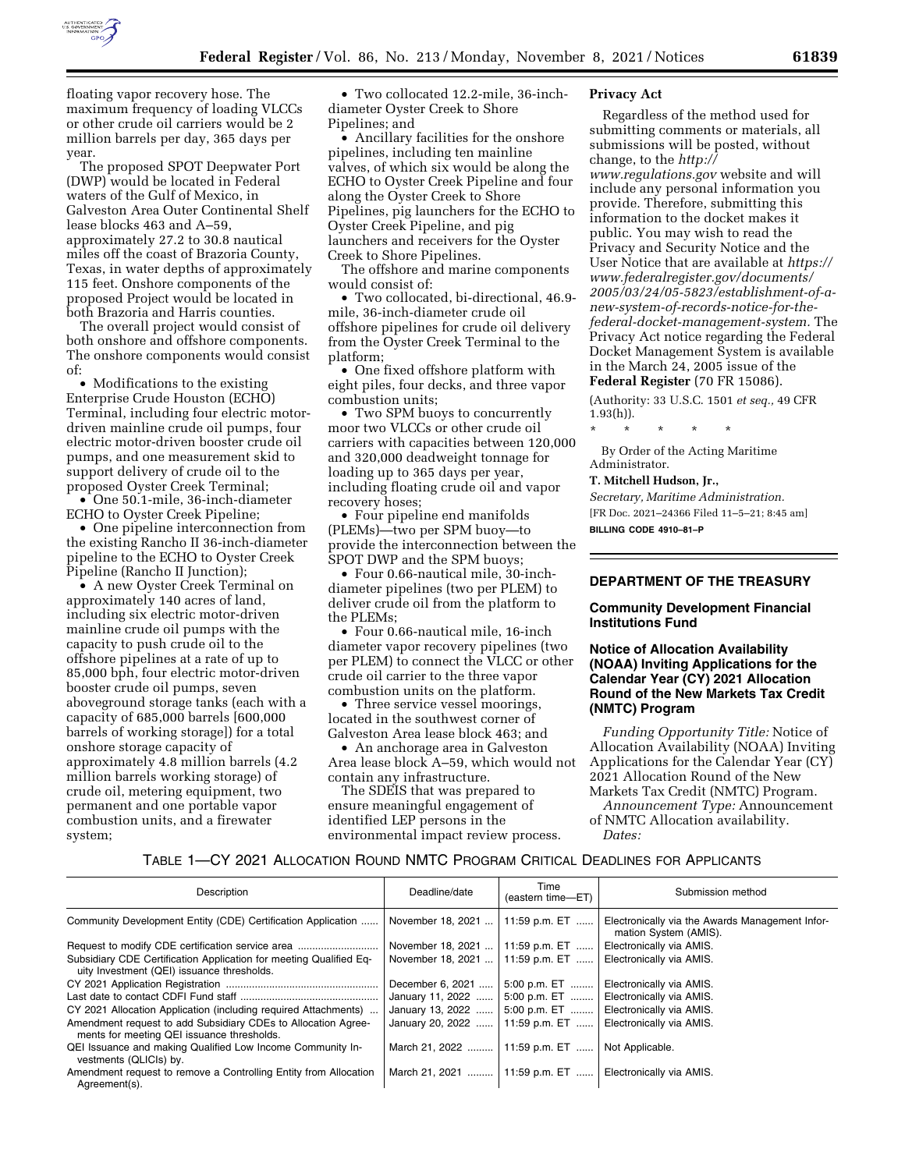

floating vapor recovery hose. The maximum frequency of loading VLCCs or other crude oil carriers would be 2 million barrels per day, 365 days per year.

The proposed SPOT Deepwater Port (DWP) would be located in Federal waters of the Gulf of Mexico, in Galveston Area Outer Continental Shelf lease blocks 463 and A–59, approximately 27.2 to 30.8 nautical miles off the coast of Brazoria County, Texas, in water depths of approximately 115 feet. Onshore components of the proposed Project would be located in both Brazoria and Harris counties.

The overall project would consist of both onshore and offshore components. The onshore components would consist of:

• Modifications to the existing Enterprise Crude Houston (ECHO) Terminal, including four electric motordriven mainline crude oil pumps, four electric motor-driven booster crude oil pumps, and one measurement skid to support delivery of crude oil to the proposed Oyster Creek Terminal;

• One 50.1-mile, 36-inch-diameter ECHO to Oyster Creek Pipeline;

• One pipeline interconnection from the existing Rancho II 36-inch-diameter pipeline to the ECHO to Oyster Creek Pipeline (Rancho II Junction);

• A new Oyster Creek Terminal on approximately 140 acres of land, including six electric motor-driven mainline crude oil pumps with the capacity to push crude oil to the offshore pipelines at a rate of up to 85,000 bph, four electric motor-driven booster crude oil pumps, seven aboveground storage tanks (each with a capacity of 685,000 barrels [600,000 barrels of working storage]) for a total onshore storage capacity of approximately 4.8 million barrels (4.2 million barrels working storage) of crude oil, metering equipment, two permanent and one portable vapor combustion units, and a firewater system;

• Two collocated 12.2-mile, 36-inchdiameter Oyster Creek to Shore Pipelines; and

• Ancillary facilities for the onshore pipelines, including ten mainline valves, of which six would be along the ECHO to Oyster Creek Pipeline and four along the Oyster Creek to Shore Pipelines, pig launchers for the ECHO to Oyster Creek Pipeline, and pig launchers and receivers for the Oyster Creek to Shore Pipelines.

The offshore and marine components would consist of:

• Two collocated, bi-directional, 46.9 mile, 36-inch-diameter crude oil offshore pipelines for crude oil delivery from the Oyster Creek Terminal to the platform;

• One fixed offshore platform with eight piles, four decks, and three vapor combustion units;

• Two SPM buoys to concurrently moor two VLCCs or other crude oil carriers with capacities between 120,000 and 320,000 deadweight tonnage for loading up to 365 days per year, including floating crude oil and vapor recovery hoses;

• Four pipeline end manifolds (PLEMs)—two per SPM buoy—to provide the interconnection between the SPOT DWP and the SPM buoys;

• Four 0.66-nautical mile, 30-inchdiameter pipelines (two per PLEM) to deliver crude oil from the platform to the PLEMs;

• Four 0.66-nautical mile, 16-inch diameter vapor recovery pipelines (two per PLEM) to connect the VLCC or other crude oil carrier to the three vapor combustion units on the platform.

• Three service vessel moorings, located in the southwest corner of Galveston Area lease block 463; and

• An anchorage area in Galveston Area lease block A–59, which would not contain any infrastructure.

The SDEIS that was prepared to ensure meaningful engagement of identified LEP persons in the environmental impact review process.

### **Privacy Act**

Regardless of the method used for submitting comments or materials, all submissions will be posted, without change, to the *[http://](http://www.regulations.gov) [www.regulations.gov](http://www.regulations.gov)* website and will include any personal information you provide. Therefore, submitting this information to the docket makes it public. You may wish to read the Privacy and Security Notice and the User Notice that are available at *[https://](https://www.federalregister.gov/documents/2005/03/24/05-5823/establishment-of-a-new-system-of-records-notice-for-the-federal-docket-management-system) [www.federalregister.gov/documents/](https://www.federalregister.gov/documents/2005/03/24/05-5823/establishment-of-a-new-system-of-records-notice-for-the-federal-docket-management-system)  [2005/03/24/05-5823/establishment-of-a](https://www.federalregister.gov/documents/2005/03/24/05-5823/establishment-of-a-new-system-of-records-notice-for-the-federal-docket-management-system)[new-system-of-records-notice-for-the](https://www.federalregister.gov/documents/2005/03/24/05-5823/establishment-of-a-new-system-of-records-notice-for-the-federal-docket-management-system)[federal-docket-management-system](https://www.federalregister.gov/documents/2005/03/24/05-5823/establishment-of-a-new-system-of-records-notice-for-the-federal-docket-management-system).* The Privacy Act notice regarding the Federal Docket Management System is available in the March 24, 2005 issue of the **Federal Register** (70 FR 15086).

(Authority: 33 U.S.C. 1501 *et seq.,* 49 CFR 1.93(h)).

\* \* \* \* \*

By Order of the Acting Maritime Administrator.

# **T. Mitchell Hudson, Jr.,**

*Secretary, Maritime Administration.*  [FR Doc. 2021–24366 Filed 11–5–21; 8:45 am] **BILLING CODE 4910–81–P** 

# **DEPARTMENT OF THE TREASURY**

## **Community Development Financial Institutions Fund**

### **Notice of Allocation Availability (NOAA) Inviting Applications for the Calendar Year (CY) 2021 Allocation Round of the New Markets Tax Credit (NMTC) Program**

*Funding Opportunity Title:* Notice of Allocation Availability (NOAA) Inviting Applications for the Calendar Year (CY) 2021 Allocation Round of the New Markets Tax Credit (NMTC) Program.

*Announcement Type:* Announcement of NMTC Allocation availability. *Dates:* 

### TABLE 1—CY 2021 ALLOCATION ROUND NMTC PROGRAM CRITICAL DEADLINES FOR APPLICANTS

| <b>Description</b>                                                                                               | Deadline/date     | Time<br>(eastern time-ET) | Submission method                                                        |
|------------------------------------------------------------------------------------------------------------------|-------------------|---------------------------|--------------------------------------------------------------------------|
| Community Development Entity (CDE) Certification Application                                                     | November 18, 2021 | 11:59 p.m. ET             | Electronically via the Awards Management Infor-<br>mation System (AMIS). |
|                                                                                                                  | November 18, 2021 | 11:59 p.m. ET             | Electronically via AMIS.                                                 |
| Subsidiary CDE Certification Application for meeting Qualified Eq-<br>uity Investment (QEI) issuance thresholds. | November 18, 2021 | 11:59 p.m. ET             | Electronically via AMIS.                                                 |
|                                                                                                                  | December 6, 2021  | 5:00 p.m. ET              | Electronically via AMIS.                                                 |
|                                                                                                                  | January 11, 2022  | 5:00 p.m. ET              | Electronically via AMIS.                                                 |
| CY 2021 Allocation Application (including required Attachments)                                                  | January 13, 2022  | 5:00 p.m. ET              | Electronically via AMIS.                                                 |
| Amendment request to add Subsidiary CDEs to Allocation Agree-<br>ments for meeting QEI issuance thresholds.      | January 20, 2022  | 11:59 p.m. ET             | Electronically via AMIS.                                                 |
| QEI Issuance and making Qualified Low Income Community In-<br>vestments (QLICIs) by.                             | March 21, 2022    | 11:59 p.m. ET             | Not Applicable.                                                          |
| Amendment request to remove a Controlling Entity from Allocation<br>Agreement(s).                                | March 21, 2021    | 11:59 p.m. ET             | Electronically via AMIS.                                                 |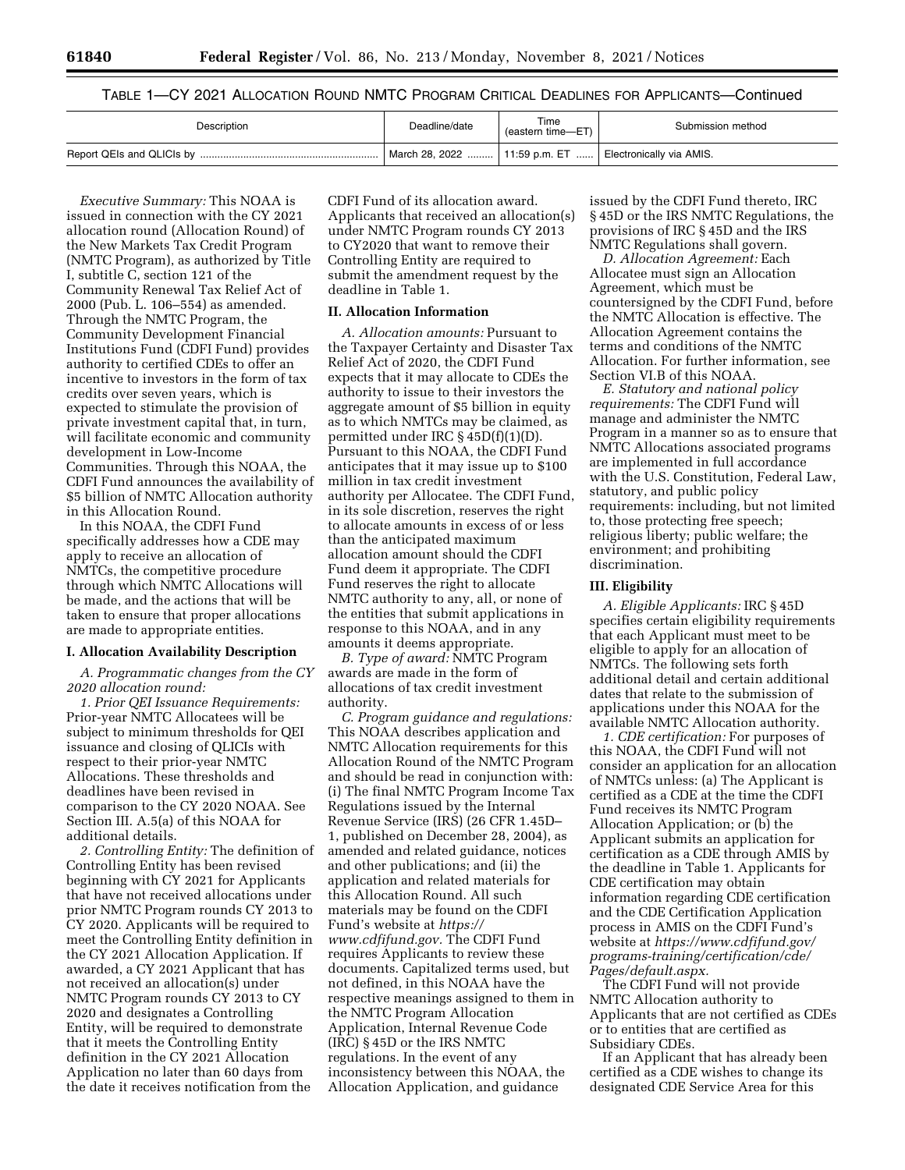TABLE 1—CY 2021 ALLOCATION ROUND NMTC PROGRAM CRITICAL DEADLINES FOR APPLICANTS—Continued

| Description | Deadline/date                   | Time<br>(eastern time-ET) | Submission method        |
|-------------|---------------------------------|---------------------------|--------------------------|
|             | March 28, 2022    11:59 p.m. ET |                           | Electronically via AMIS. |

*Executive Summary:* This NOAA is issued in connection with the CY 2021 allocation round (Allocation Round) of the New Markets Tax Credit Program (NMTC Program), as authorized by Title I, subtitle C, section 121 of the Community Renewal Tax Relief Act of 2000 (Pub. L. 106–554) as amended. Through the NMTC Program, the Community Development Financial Institutions Fund (CDFI Fund) provides authority to certified CDEs to offer an incentive to investors in the form of tax credits over seven years, which is expected to stimulate the provision of private investment capital that, in turn, will facilitate economic and community development in Low-Income Communities. Through this NOAA, the CDFI Fund announces the availability of \$5 billion of NMTC Allocation authority in this Allocation Round.

In this NOAA, the CDFI Fund specifically addresses how a CDE may apply to receive an allocation of NMTCs, the competitive procedure through which NMTC Allocations will be made, and the actions that will be taken to ensure that proper allocations are made to appropriate entities.

#### **I. Allocation Availability Description**

*A. Programmatic changes from the CY 2020 allocation round:* 

*1. Prior QEI Issuance Requirements:*  Prior-year NMTC Allocatees will be subject to minimum thresholds for QEI issuance and closing of QLICIs with respect to their prior-year NMTC Allocations. These thresholds and deadlines have been revised in comparison to the CY 2020 NOAA. See Section III. A.5(a) of this NOAA for additional details.

*2. Controlling Entity:* The definition of Controlling Entity has been revised beginning with CY 2021 for Applicants that have not received allocations under prior NMTC Program rounds CY 2013 to CY 2020. Applicants will be required to meet the Controlling Entity definition in the CY 2021 Allocation Application. If awarded, a CY 2021 Applicant that has not received an allocation(s) under NMTC Program rounds CY 2013 to CY 2020 and designates a Controlling Entity, will be required to demonstrate that it meets the Controlling Entity definition in the CY 2021 Allocation Application no later than 60 days from the date it receives notification from the

CDFI Fund of its allocation award. Applicants that received an allocation(s) under NMTC Program rounds CY 2013 to CY2020 that want to remove their Controlling Entity are required to submit the amendment request by the deadline in Table 1.

#### **II. Allocation Information**

*A. Allocation amounts:* Pursuant to the Taxpayer Certainty and Disaster Tax Relief Act of 2020, the CDFI Fund expects that it may allocate to CDEs the authority to issue to their investors the aggregate amount of \$5 billion in equity as to which NMTCs may be claimed, as permitted under IRC § 45D(f)(1)(D). Pursuant to this NOAA, the CDFI Fund anticipates that it may issue up to \$100 million in tax credit investment authority per Allocatee. The CDFI Fund, in its sole discretion, reserves the right to allocate amounts in excess of or less than the anticipated maximum allocation amount should the CDFI Fund deem it appropriate. The CDFI Fund reserves the right to allocate NMTC authority to any, all, or none of the entities that submit applications in response to this NOAA, and in any amounts it deems appropriate.

*B. Type of award:* NMTC Program awards are made in the form of allocations of tax credit investment authority.

*C. Program guidance and regulations:*  This NOAA describes application and NMTC Allocation requirements for this Allocation Round of the NMTC Program and should be read in conjunction with: (i) The final NMTC Program Income Tax Regulations issued by the Internal Revenue Service (IRS) (26 CFR 1.45D– 1, published on December 28, 2004), as amended and related guidance, notices and other publications; and (ii) the application and related materials for this Allocation Round. All such materials may be found on the CDFI Fund's website at *[https://](https://www.cdfifund.gov) [www.cdfifund.gov.](https://www.cdfifund.gov)* The CDFI Fund requires Applicants to review these documents. Capitalized terms used, but not defined, in this NOAA have the respective meanings assigned to them in the NMTC Program Allocation Application, Internal Revenue Code (IRC) § 45D or the IRS NMTC regulations. In the event of any inconsistency between this NOAA, the Allocation Application, and guidance

issued by the CDFI Fund thereto, IRC § 45D or the IRS NMTC Regulations, the provisions of IRC § 45D and the IRS NMTC Regulations shall govern.

*D. Allocation Agreement:* Each Allocatee must sign an Allocation Agreement, which must be countersigned by the CDFI Fund, before the NMTC Allocation is effective. The Allocation Agreement contains the terms and conditions of the NMTC Allocation. For further information, see Section VI.B of this NOAA.

*E. Statutory and national policy requirements:* The CDFI Fund will manage and administer the NMTC Program in a manner so as to ensure that NMTC Allocations associated programs are implemented in full accordance with the U.S. Constitution, Federal Law, statutory, and public policy requirements: including, but not limited to, those protecting free speech; religious liberty; public welfare; the environment; and prohibiting discrimination.

### **III. Eligibility**

*A. Eligible Applicants:* IRC § 45D specifies certain eligibility requirements that each Applicant must meet to be eligible to apply for an allocation of NMTCs. The following sets forth additional detail and certain additional dates that relate to the submission of applications under this NOAA for the available NMTC Allocation authority.

*1. CDE certification:* For purposes of this NOAA, the CDFI Fund will not consider an application for an allocation of NMTCs unless: (a) The Applicant is certified as a CDE at the time the CDFI Fund receives its NMTC Program Allocation Application; or (b) the Applicant submits an application for certification as a CDE through AMIS by the deadline in Table 1. Applicants for CDE certification may obtain information regarding CDE certification and the CDE Certification Application process in AMIS on the CDFI Fund's website at *[https://www.cdfifund.gov/](https://www.cdfifund.gov/programs-training/certification/cde/Pages/default.aspx.)  [programs-training/certification/cde/](https://www.cdfifund.gov/programs-training/certification/cde/Pages/default.aspx.)  [Pages/default.aspx.](https://www.cdfifund.gov/programs-training/certification/cde/Pages/default.aspx.)* 

The CDFI Fund will not provide NMTC Allocation authority to Applicants that are not certified as CDEs or to entities that are certified as Subsidiary CDEs.

If an Applicant that has already been certified as a CDE wishes to change its designated CDE Service Area for this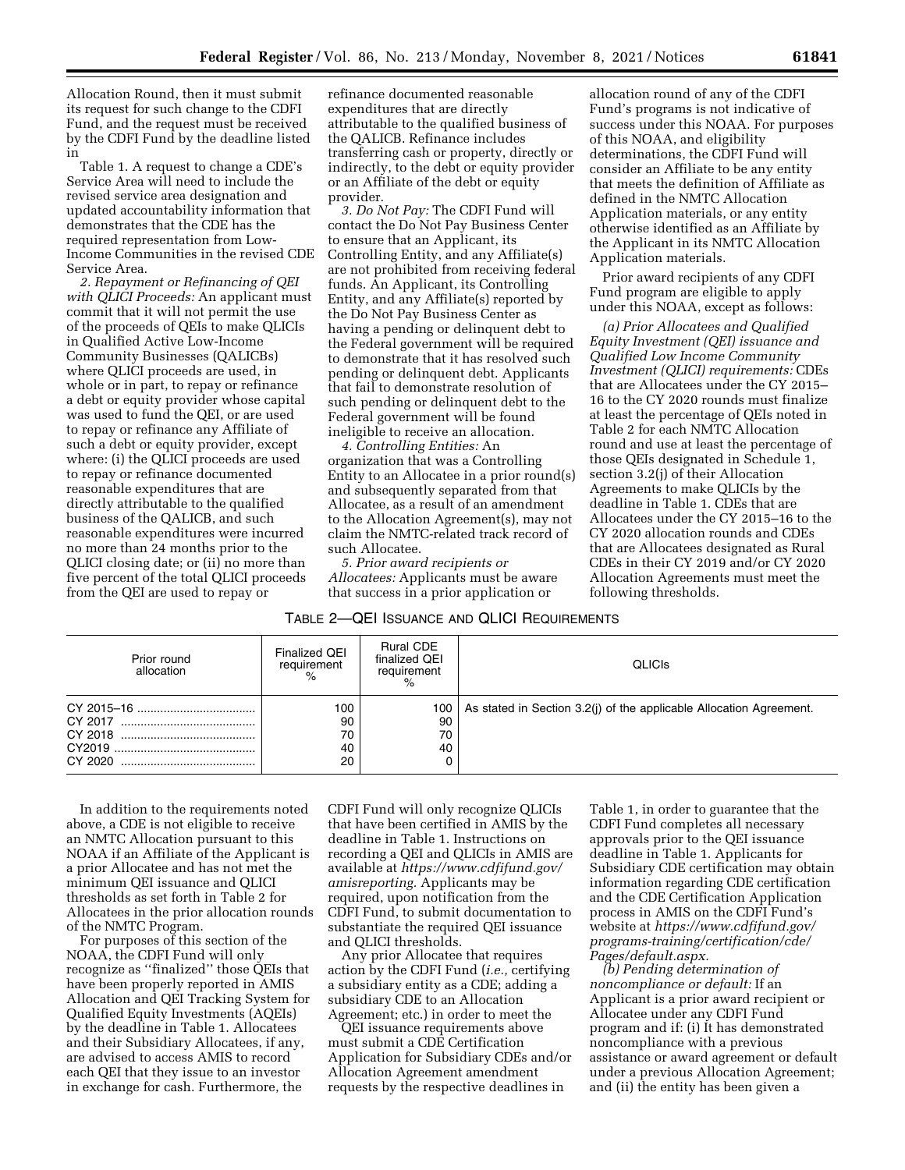Allocation Round, then it must submit its request for such change to the CDFI Fund, and the request must be received by the CDFI Fund by the deadline listed in

Table 1. A request to change a CDE's Service Area will need to include the revised service area designation and updated accountability information that demonstrates that the CDE has the required representation from Low-Income Communities in the revised CDE Service Area.

*2. Repayment or Refinancing of QEI with QLICI Proceeds:* An applicant must commit that it will not permit the use of the proceeds of QEIs to make QLICIs in Qualified Active Low-Income Community Businesses (QALICBs) where QLICI proceeds are used, in whole or in part, to repay or refinance a debt or equity provider whose capital was used to fund the QEI, or are used to repay or refinance any Affiliate of such a debt or equity provider, except where: (i) the QLICI proceeds are used to repay or refinance documented reasonable expenditures that are directly attributable to the qualified business of the QALICB, and such reasonable expenditures were incurred no more than 24 months prior to the QLICI closing date; or (ii) no more than five percent of the total QLICI proceeds from the QEI are used to repay or

refinance documented reasonable expenditures that are directly attributable to the qualified business of the QALICB. Refinance includes transferring cash or property, directly or indirectly, to the debt or equity provider or an Affiliate of the debt or equity provider.

*3. Do Not Pay:* The CDFI Fund will contact the Do Not Pay Business Center to ensure that an Applicant, its Controlling Entity, and any Affiliate(s) are not prohibited from receiving federal funds. An Applicant, its Controlling Entity, and any Affiliate(s) reported by the Do Not Pay Business Center as having a pending or delinquent debt to the Federal government will be required to demonstrate that it has resolved such pending or delinquent debt. Applicants that fail to demonstrate resolution of such pending or delinquent debt to the Federal government will be found ineligible to receive an allocation.

*4. Controlling Entities:* An organization that was a Controlling Entity to an Allocatee in a prior round(s) and subsequently separated from that Allocatee, as a result of an amendment to the Allocation Agreement(s), may not claim the NMTC-related track record of such Allocatee.

*5. Prior award recipients or Allocatees:* Applicants must be aware that success in a prior application or

| TABLE 2-QEI ISSUANCE AND QLICI REQUIREMENTS |  |
|---------------------------------------------|--|
|---------------------------------------------|--|

| Prior round<br>allocation | <b>Finalized QEI</b><br>requirement<br>% | <b>Rural CDE</b><br>finalized QEI<br>requirement<br>$\frac{1}{2}$ | <b>QLICIS</b>                                                       |
|---------------------------|------------------------------------------|-------------------------------------------------------------------|---------------------------------------------------------------------|
| CY 2020                   | 100<br>90<br>70<br>40<br>20              | 100<br>90<br>70<br>40                                             | As stated in Section 3.2(i) of the applicable Allocation Agreement. |

In addition to the requirements noted above, a CDE is not eligible to receive an NMTC Allocation pursuant to this NOAA if an Affiliate of the Applicant is a prior Allocatee and has not met the minimum QEI issuance and QLICI thresholds as set forth in Table 2 for Allocatees in the prior allocation rounds of the NMTC Program.

For purposes of this section of the NOAA, the CDFI Fund will only recognize as ''finalized'' those QEIs that have been properly reported in AMIS Allocation and QEI Tracking System for Qualified Equity Investments (AQEIs) by the deadline in Table 1. Allocatees and their Subsidiary Allocatees, if any, are advised to access AMIS to record each QEI that they issue to an investor in exchange for cash. Furthermore, the

CDFI Fund will only recognize QLICIs that have been certified in AMIS by the deadline in Table 1. Instructions on recording a QEI and QLICIs in AMIS are available at *[https://www.cdfifund.gov/](https://www.cdfifund.gov/amisreporting) [amisreporting.](https://www.cdfifund.gov/amisreporting)* Applicants may be required, upon notification from the CDFI Fund, to submit documentation to substantiate the required QEI issuance and QLICI thresholds.

Any prior Allocatee that requires action by the CDFI Fund (*i.e.,* certifying a subsidiary entity as a CDE; adding a subsidiary CDE to an Allocation Agreement; etc.) in order to meet the

QEI issuance requirements above must submit a CDE Certification Application for Subsidiary CDEs and/or Allocation Agreement amendment requests by the respective deadlines in

Table 1, in order to guarantee that the CDFI Fund completes all necessary approvals prior to the QEI issuance deadline in Table 1. Applicants for Subsidiary CDE certification may obtain information regarding CDE certification and the CDE Certification Application process in AMIS on the CDFI Fund's website at *[https://www.cdfifund.gov/](https://www.cdfifund.gov/programs-training/certification/cde/Pages/default.aspx.)  [programs-training/certification/cde/](https://www.cdfifund.gov/programs-training/certification/cde/Pages/default.aspx.)  [Pages/default.aspx.](https://www.cdfifund.gov/programs-training/certification/cde/Pages/default.aspx.)* 

*(b) Pending determination of noncompliance or default:* If an Applicant is a prior award recipient or Allocatee under any CDFI Fund program and if: (i) It has demonstrated noncompliance with a previous assistance or award agreement or default under a previous Allocation Agreement; and (ii) the entity has been given a

allocation round of any of the CDFI Fund's programs is not indicative of success under this NOAA. For purposes of this NOAA, and eligibility determinations, the CDFI Fund will consider an Affiliate to be any entity that meets the definition of Affiliate as defined in the NMTC Allocation Application materials, or any entity otherwise identified as an Affiliate by the Applicant in its NMTC Allocation Application materials.

Prior award recipients of any CDFI Fund program are eligible to apply under this NOAA, except as follows:

*(a) Prior Allocatees and Qualified Equity Investment (QEI) issuance and Qualified Low Income Community Investment (QLICI) requirements:* CDEs that are Allocatees under the CY 2015– 16 to the CY 2020 rounds must finalize at least the percentage of QEIs noted in Table 2 for each NMTC Allocation round and use at least the percentage of those QEIs designated in Schedule 1, section 3.2(j) of their Allocation Agreements to make QLICIs by the deadline in Table 1. CDEs that are Allocatees under the CY 2015–16 to the CY 2020 allocation rounds and CDEs that are Allocatees designated as Rural CDEs in their CY 2019 and/or CY 2020 Allocation Agreements must meet the following thresholds.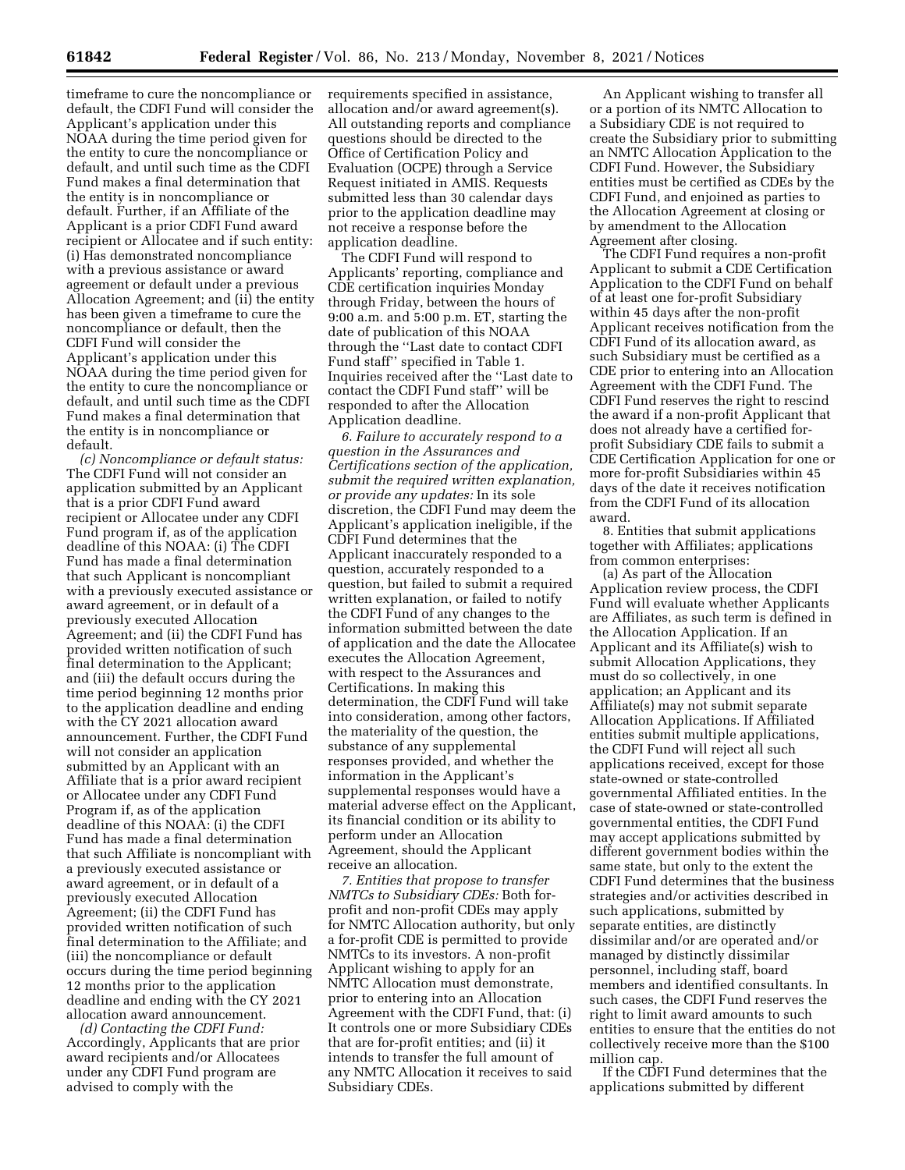timeframe to cure the noncompliance or default, the CDFI Fund will consider the Applicant's application under this NOAA during the time period given for the entity to cure the noncompliance or default, and until such time as the CDFI Fund makes a final determination that the entity is in noncompliance or default. Further, if an Affiliate of the Applicant is a prior CDFI Fund award recipient or Allocatee and if such entity: (i) Has demonstrated noncompliance with a previous assistance or award agreement or default under a previous Allocation Agreement; and (ii) the entity has been given a timeframe to cure the noncompliance or default, then the CDFI Fund will consider the Applicant's application under this NOAA during the time period given for the entity to cure the noncompliance or default, and until such time as the CDFI Fund makes a final determination that the entity is in noncompliance or default.

*(c) Noncompliance or default status:*  The CDFI Fund will not consider an application submitted by an Applicant that is a prior CDFI Fund award recipient or Allocatee under any CDFI Fund program if, as of the application deadline of this NOAA: (i) The CDFI Fund has made a final determination that such Applicant is noncompliant with a previously executed assistance or award agreement, or in default of a previously executed Allocation Agreement; and (ii) the CDFI Fund has provided written notification of such final determination to the Applicant; and (iii) the default occurs during the time period beginning 12 months prior to the application deadline and ending with the CY 2021 allocation award announcement. Further, the CDFI Fund will not consider an application submitted by an Applicant with an Affiliate that is a prior award recipient or Allocatee under any CDFI Fund Program if, as of the application deadline of this NOAA: (i) the CDFI Fund has made a final determination that such Affiliate is noncompliant with a previously executed assistance or award agreement, or in default of a previously executed Allocation Agreement; (ii) the CDFI Fund has provided written notification of such final determination to the Affiliate; and (iii) the noncompliance or default occurs during the time period beginning 12 months prior to the application deadline and ending with the CY 2021 allocation award announcement.

*(d) Contacting the CDFI Fund:*  Accordingly, Applicants that are prior award recipients and/or Allocatees under any CDFI Fund program are advised to comply with the

requirements specified in assistance, allocation and/or award agreement(s). All outstanding reports and compliance questions should be directed to the Office of Certification Policy and Evaluation (OCPE) through a Service Request initiated in AMIS. Requests submitted less than 30 calendar days prior to the application deadline may not receive a response before the application deadline.

The CDFI Fund will respond to Applicants' reporting, compliance and CDE certification inquiries Monday through Friday, between the hours of 9:00 a.m. and 5:00 p.m. ET, starting the date of publication of this NOAA through the ''Last date to contact CDFI Fund staff'' specified in Table 1. Inquiries received after the ''Last date to contact the CDFI Fund staff'' will be responded to after the Allocation Application deadline.

*6. Failure to accurately respond to a question in the Assurances and Certifications section of the application, submit the required written explanation, or provide any updates:* In its sole discretion, the CDFI Fund may deem the Applicant's application ineligible, if the CDFI Fund determines that the Applicant inaccurately responded to a question, accurately responded to a question, but failed to submit a required written explanation, or failed to notify the CDFI Fund of any changes to the information submitted between the date of application and the date the Allocatee executes the Allocation Agreement, with respect to the Assurances and Certifications. In making this determination, the CDFI Fund will take into consideration, among other factors, the materiality of the question, the substance of any supplemental responses provided, and whether the information in the Applicant's supplemental responses would have a material adverse effect on the Applicant, its financial condition or its ability to perform under an Allocation Agreement, should the Applicant receive an allocation.

*7. Entities that propose to transfer NMTCs to Subsidiary CDEs:* Both forprofit and non-profit CDEs may apply for NMTC Allocation authority, but only a for-profit CDE is permitted to provide NMTCs to its investors. A non-profit Applicant wishing to apply for an NMTC Allocation must demonstrate, prior to entering into an Allocation Agreement with the CDFI Fund, that: (i) It controls one or more Subsidiary CDEs that are for-profit entities; and (ii) it intends to transfer the full amount of any NMTC Allocation it receives to said Subsidiary CDEs.

An Applicant wishing to transfer all or a portion of its NMTC Allocation to a Subsidiary CDE is not required to create the Subsidiary prior to submitting an NMTC Allocation Application to the CDFI Fund. However, the Subsidiary entities must be certified as CDEs by the CDFI Fund, and enjoined as parties to the Allocation Agreement at closing or by amendment to the Allocation Agreement after closing.

The CDFI Fund requires a non-profit Applicant to submit a CDE Certification Application to the CDFI Fund on behalf of at least one for-profit Subsidiary within 45 days after the non-profit Applicant receives notification from the CDFI Fund of its allocation award, as such Subsidiary must be certified as a CDE prior to entering into an Allocation Agreement with the CDFI Fund. The CDFI Fund reserves the right to rescind the award if a non-profit Applicant that does not already have a certified forprofit Subsidiary CDE fails to submit a CDE Certification Application for one or more for-profit Subsidiaries within 45 days of the date it receives notification from the CDFI Fund of its allocation award.

8. Entities that submit applications together with Affiliates; applications from common enterprises:

(a) As part of the Allocation Application review process, the CDFI Fund will evaluate whether Applicants are Affiliates, as such term is defined in the Allocation Application. If an Applicant and its Affiliate(s) wish to submit Allocation Applications, they must do so collectively, in one application; an Applicant and its Affiliate(s) may not submit separate Allocation Applications. If Affiliated entities submit multiple applications, the CDFI Fund will reject all such applications received, except for those state-owned or state-controlled governmental Affiliated entities. In the case of state-owned or state-controlled governmental entities, the CDFI Fund may accept applications submitted by different government bodies within the same state, but only to the extent the CDFI Fund determines that the business strategies and/or activities described in such applications, submitted by separate entities, are distinctly dissimilar and/or are operated and/or managed by distinctly dissimilar personnel, including staff, board members and identified consultants. In such cases, the CDFI Fund reserves the right to limit award amounts to such entities to ensure that the entities do not collectively receive more than the \$100 million cap.

If the CDFI Fund determines that the applications submitted by different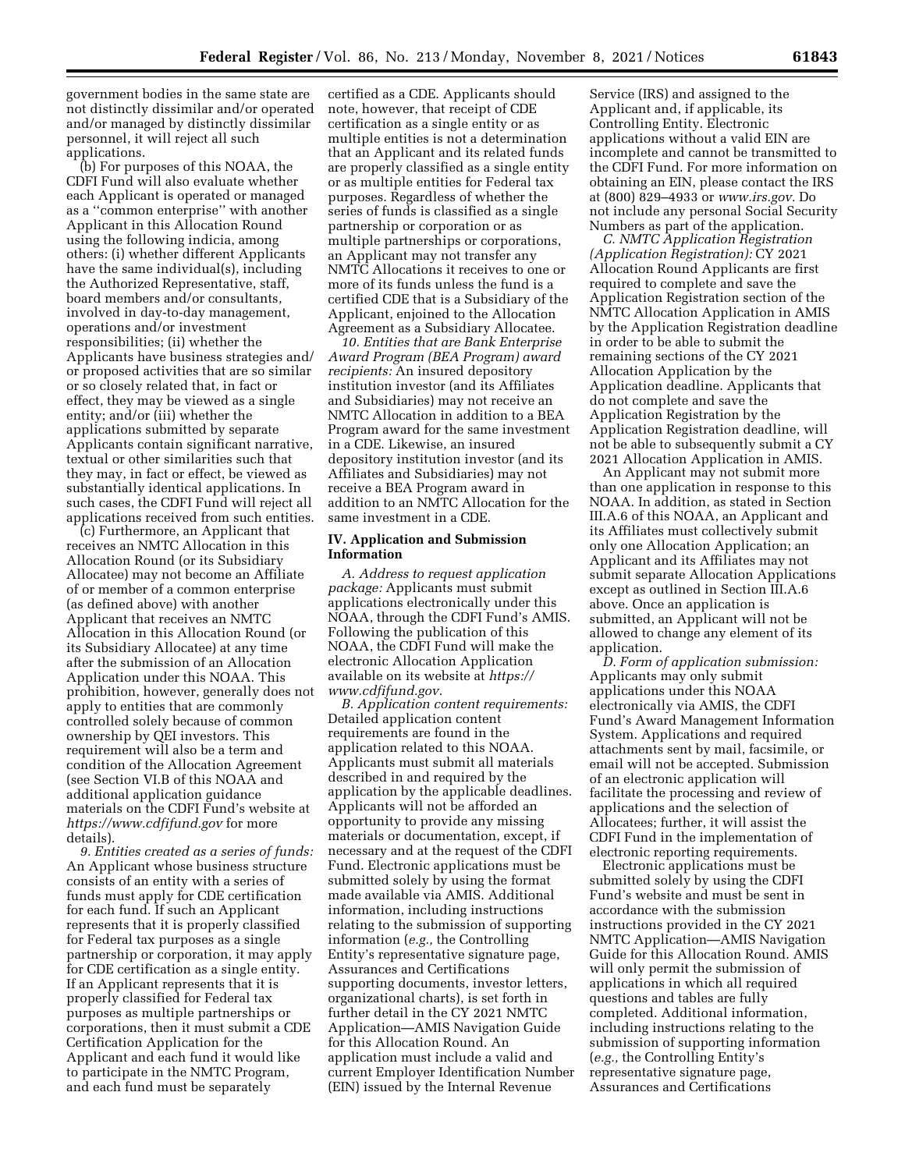government bodies in the same state are not distinctly dissimilar and/or operated and/or managed by distinctly dissimilar personnel, it will reject all such applications.

(b) For purposes of this NOAA, the CDFI Fund will also evaluate whether each Applicant is operated or managed as a ''common enterprise'' with another Applicant in this Allocation Round using the following indicia, among others: (i) whether different Applicants have the same individual(s), including the Authorized Representative, staff, board members and/or consultants, involved in day-to-day management, operations and/or investment responsibilities; (ii) whether the Applicants have business strategies and/ or proposed activities that are so similar or so closely related that, in fact or effect, they may be viewed as a single entity; and/or (iii) whether the applications submitted by separate Applicants contain significant narrative, textual or other similarities such that they may, in fact or effect, be viewed as substantially identical applications. In such cases, the CDFI Fund will reject all applications received from such entities.

(c) Furthermore, an Applicant that receives an NMTC Allocation in this Allocation Round (or its Subsidiary Allocatee) may not become an Affiliate of or member of a common enterprise (as defined above) with another Applicant that receives an NMTC Allocation in this Allocation Round (or its Subsidiary Allocatee) at any time after the submission of an Allocation Application under this NOAA. This prohibition, however, generally does not apply to entities that are commonly controlled solely because of common ownership by QEI investors. This requirement will also be a term and condition of the Allocation Agreement (see Section VI.B of this NOAA and additional application guidance materials on the CDFI Fund's website at *<https://www.cdfifund.gov>*for more details).

*9. Entities created as a series of funds:*  An Applicant whose business structure consists of an entity with a series of funds must apply for CDE certification for each fund. If such an Applicant represents that it is properly classified for Federal tax purposes as a single partnership or corporation, it may apply for CDE certification as a single entity. If an Applicant represents that it is properly classified for Federal tax purposes as multiple partnerships or corporations, then it must submit a CDE Certification Application for the Applicant and each fund it would like to participate in the NMTC Program, and each fund must be separately

certified as a CDE. Applicants should note, however, that receipt of CDE certification as a single entity or as multiple entities is not a determination that an Applicant and its related funds are properly classified as a single entity or as multiple entities for Federal tax purposes. Regardless of whether the series of funds is classified as a single partnership or corporation or as multiple partnerships or corporations, an Applicant may not transfer any NMTC Allocations it receives to one or more of its funds unless the fund is a certified CDE that is a Subsidiary of the Applicant, enjoined to the Allocation Agreement as a Subsidiary Allocatee.

*10. Entities that are Bank Enterprise Award Program (BEA Program) award recipients:* An insured depository institution investor (and its Affiliates and Subsidiaries) may not receive an NMTC Allocation in addition to a BEA Program award for the same investment in a CDE. Likewise, an insured depository institution investor (and its Affiliates and Subsidiaries) may not receive a BEA Program award in addition to an NMTC Allocation for the same investment in a CDE.

#### **IV. Application and Submission Information**

*A. Address to request application package:* Applicants must submit applications electronically under this NOAA, through the CDFI Fund's AMIS. Following the publication of this NOAA, the CDFI Fund will make the electronic Allocation Application available on its website at *[https://](https://www.cdfifund.gov) [www.cdfifund.gov.](https://www.cdfifund.gov)* 

*B. Application content requirements:*  Detailed application content requirements are found in the application related to this NOAA. Applicants must submit all materials described in and required by the application by the applicable deadlines. Applicants will not be afforded an opportunity to provide any missing materials or documentation, except, if necessary and at the request of the CDFI Fund. Electronic applications must be submitted solely by using the format made available via AMIS. Additional information, including instructions relating to the submission of supporting information (*e.g.,* the Controlling Entity's representative signature page, Assurances and Certifications supporting documents, investor letters, organizational charts), is set forth in further detail in the CY 2021 NMTC Application—AMIS Navigation Guide for this Allocation Round. An application must include a valid and current Employer Identification Number (EIN) issued by the Internal Revenue

Service (IRS) and assigned to the Applicant and, if applicable, its Controlling Entity. Electronic applications without a valid EIN are incomplete and cannot be transmitted to the CDFI Fund. For more information on obtaining an EIN, please contact the IRS at (800) 829–4933 or *[www.irs.gov.](http://www.irs.gov)* Do not include any personal Social Security Numbers as part of the application.

*C. NMTC Application Registration (Application Registration):* CY 2021 Allocation Round Applicants are first required to complete and save the Application Registration section of the NMTC Allocation Application in AMIS by the Application Registration deadline in order to be able to submit the remaining sections of the CY 2021 Allocation Application by the Application deadline. Applicants that do not complete and save the Application Registration by the Application Registration deadline, will not be able to subsequently submit a CY 2021 Allocation Application in AMIS.

An Applicant may not submit more than one application in response to this NOAA. In addition, as stated in Section III.A.6 of this NOAA, an Applicant and its Affiliates must collectively submit only one Allocation Application; an Applicant and its Affiliates may not submit separate Allocation Applications except as outlined in Section III.A.6 above. Once an application is submitted, an Applicant will not be allowed to change any element of its application.

*D. Form of application submission:*  Applicants may only submit applications under this NOAA electronically via AMIS, the CDFI Fund's Award Management Information System. Applications and required attachments sent by mail, facsimile, or email will not be accepted. Submission of an electronic application will facilitate the processing and review of applications and the selection of Allocatees; further, it will assist the CDFI Fund in the implementation of electronic reporting requirements.

Electronic applications must be submitted solely by using the CDFI Fund's website and must be sent in accordance with the submission instructions provided in the CY 2021 NMTC Application—AMIS Navigation Guide for this Allocation Round. AMIS will only permit the submission of applications in which all required questions and tables are fully completed. Additional information, including instructions relating to the submission of supporting information (*e.g.,* the Controlling Entity's representative signature page, Assurances and Certifications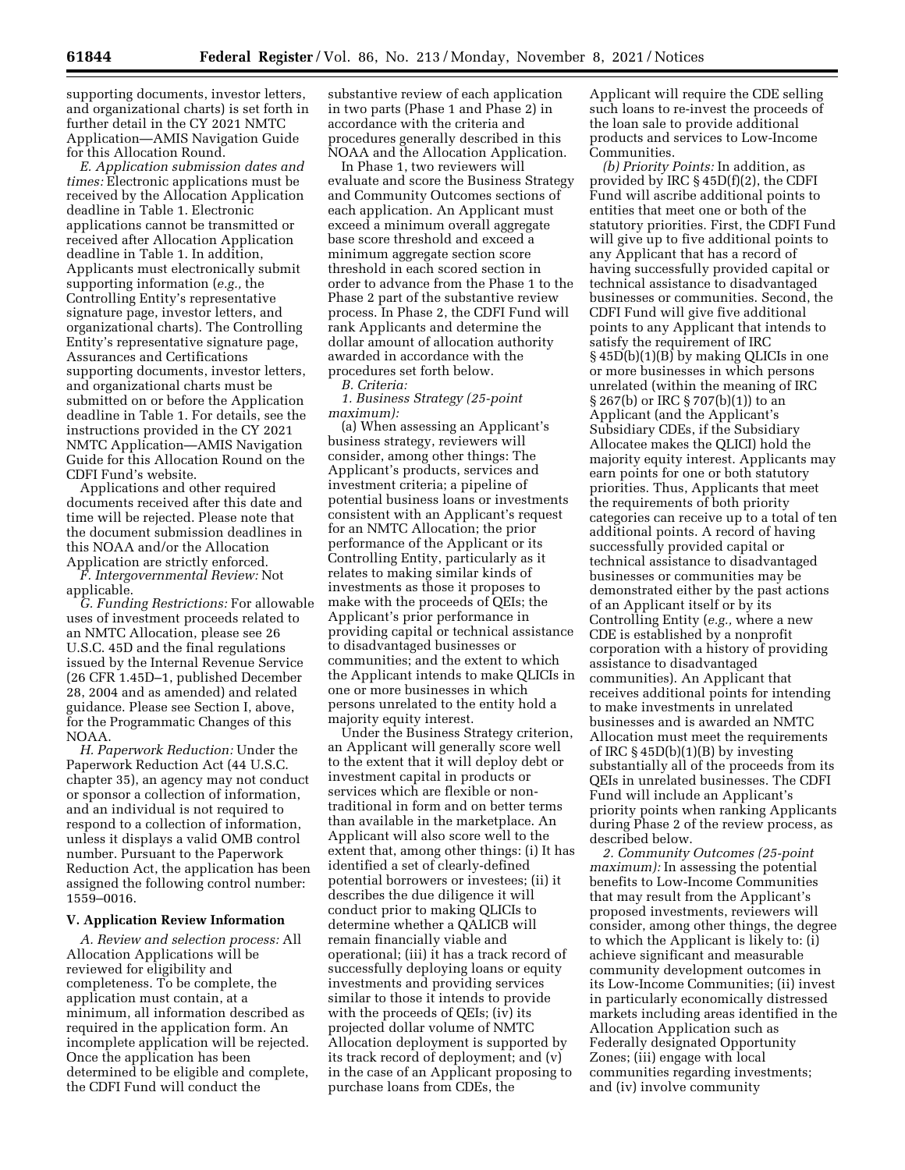supporting documents, investor letters, and organizational charts) is set forth in further detail in the CY 2021 NMTC Application—AMIS Navigation Guide for this Allocation Round.

*E. Application submission dates and times:* Electronic applications must be received by the Allocation Application deadline in Table 1. Electronic applications cannot be transmitted or received after Allocation Application deadline in Table 1. In addition, Applicants must electronically submit supporting information (*e.g.,* the Controlling Entity's representative signature page, investor letters, and organizational charts). The Controlling Entity's representative signature page, Assurances and Certifications supporting documents, investor letters, and organizational charts must be submitted on or before the Application deadline in Table 1. For details, see the instructions provided in the CY 2021 NMTC Application—AMIS Navigation Guide for this Allocation Round on the CDFI Fund's website.

Applications and other required documents received after this date and time will be rejected. Please note that the document submission deadlines in this NOAA and/or the Allocation Application are strictly enforced.

*F. Intergovernmental Review:* Not applicable.

*G. Funding Restrictions:* For allowable uses of investment proceeds related to an NMTC Allocation, please see 26 U.S.C. 45D and the final regulations issued by the Internal Revenue Service (26 CFR 1.45D–1, published December 28, 2004 and as amended) and related guidance. Please see Section I, above, for the Programmatic Changes of this NOAA.

*H. Paperwork Reduction:* Under the Paperwork Reduction Act (44 U.S.C. chapter 35), an agency may not conduct or sponsor a collection of information, and an individual is not required to respond to a collection of information, unless it displays a valid OMB control number. Pursuant to the Paperwork Reduction Act, the application has been assigned the following control number: 1559–0016.

### **V. Application Review Information**

*A. Review and selection process:* All Allocation Applications will be reviewed for eligibility and completeness. To be complete, the application must contain, at a minimum, all information described as required in the application form. An incomplete application will be rejected. Once the application has been determined to be eligible and complete, the CDFI Fund will conduct the

substantive review of each application in two parts (Phase 1 and Phase 2) in accordance with the criteria and procedures generally described in this NOAA and the Allocation Application.

In Phase 1, two reviewers will evaluate and score the Business Strategy and Community Outcomes sections of each application. An Applicant must exceed a minimum overall aggregate base score threshold and exceed a minimum aggregate section score threshold in each scored section in order to advance from the Phase 1 to the Phase 2 part of the substantive review process. In Phase 2, the CDFI Fund will rank Applicants and determine the dollar amount of allocation authority awarded in accordance with the procedures set forth below.

*B. Criteria:* 

*1. Business Strategy (25-point maximum):* 

(a) When assessing an Applicant's business strategy, reviewers will consider, among other things: The Applicant's products, services and investment criteria; a pipeline of potential business loans or investments consistent with an Applicant's request for an NMTC Allocation; the prior performance of the Applicant or its Controlling Entity, particularly as it relates to making similar kinds of investments as those it proposes to make with the proceeds of QEIs; the Applicant's prior performance in providing capital or technical assistance to disadvantaged businesses or communities; and the extent to which the Applicant intends to make QLICIs in one or more businesses in which persons unrelated to the entity hold a majority equity interest.

Under the Business Strategy criterion, an Applicant will generally score well to the extent that it will deploy debt or investment capital in products or services which are flexible or nontraditional in form and on better terms than available in the marketplace. An Applicant will also score well to the extent that, among other things: (i) It has identified a set of clearly-defined potential borrowers or investees; (ii) it describes the due diligence it will conduct prior to making QLICIs to determine whether a QALICB will remain financially viable and operational; (iii) it has a track record of successfully deploying loans or equity investments and providing services similar to those it intends to provide with the proceeds of QEIs; (iv) its projected dollar volume of NMTC Allocation deployment is supported by its track record of deployment; and (v) in the case of an Applicant proposing to purchase loans from CDEs, the

Applicant will require the CDE selling such loans to re-invest the proceeds of the loan sale to provide additional products and services to Low-Income Communities.

*(b) Priority Points:* In addition, as provided by IRC § 45D(f)(2), the CDFI Fund will ascribe additional points to entities that meet one or both of the statutory priorities. First, the CDFI Fund will give up to five additional points to any Applicant that has a record of having successfully provided capital or technical assistance to disadvantaged businesses or communities. Second, the CDFI Fund will give five additional points to any Applicant that intends to satisfy the requirement of IRC § 45D(b)(1)(B) by making QLICIs in one or more businesses in which persons unrelated (within the meaning of IRC § 267(b) or IRC § 707(b)(1)) to an Applicant (and the Applicant's Subsidiary CDEs, if the Subsidiary Allocatee makes the QLICI) hold the majority equity interest. Applicants may earn points for one or both statutory priorities. Thus, Applicants that meet the requirements of both priority categories can receive up to a total of ten additional points. A record of having successfully provided capital or technical assistance to disadvantaged businesses or communities may be demonstrated either by the past actions of an Applicant itself or by its Controlling Entity (*e.g.,* where a new CDE is established by a nonprofit corporation with a history of providing assistance to disadvantaged communities). An Applicant that receives additional points for intending to make investments in unrelated businesses and is awarded an NMTC Allocation must meet the requirements of IRC  $\S$  45D(b)(1)(B) by investing substantially all of the proceeds from its QEIs in unrelated businesses. The CDFI Fund will include an Applicant's priority points when ranking Applicants during Phase 2 of the review process, as described below.

*2. Community Outcomes (25-point maximum):* In assessing the potential benefits to Low-Income Communities that may result from the Applicant's proposed investments, reviewers will consider, among other things, the degree to which the Applicant is likely to: (i) achieve significant and measurable community development outcomes in its Low-Income Communities; (ii) invest in particularly economically distressed markets including areas identified in the Allocation Application such as Federally designated Opportunity Zones; (iii) engage with local communities regarding investments; and (iv) involve community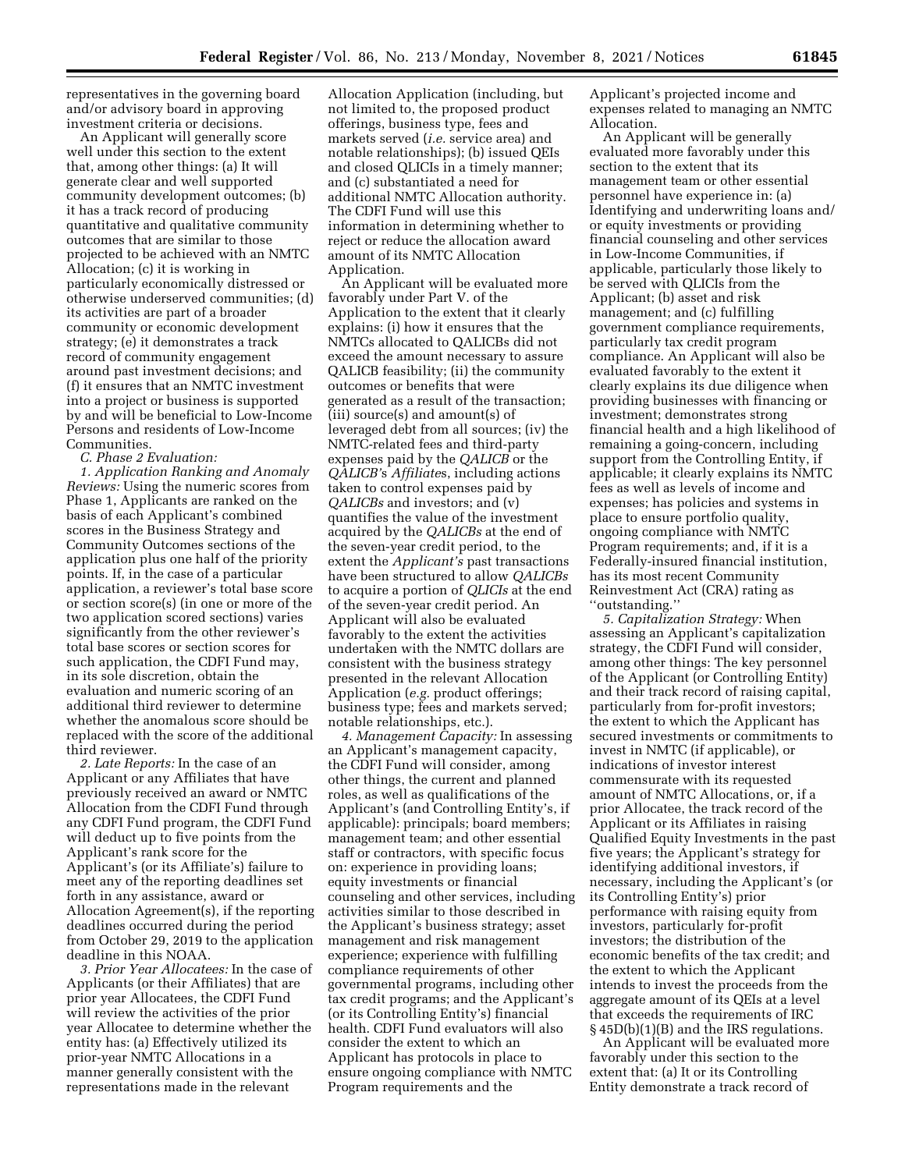representatives in the governing board and/or advisory board in approving investment criteria or decisions.

An Applicant will generally score well under this section to the extent that, among other things: (a) It will generate clear and well supported community development outcomes; (b) it has a track record of producing quantitative and qualitative community outcomes that are similar to those projected to be achieved with an NMTC Allocation; (c) it is working in particularly economically distressed or otherwise underserved communities; (d) its activities are part of a broader community or economic development strategy; (e) it demonstrates a track record of community engagement around past investment decisions; and (f) it ensures that an NMTC investment into a project or business is supported by and will be beneficial to Low-Income Persons and residents of Low-Income Communities.

*C. Phase 2 Evaluation:* 

*1. Application Ranking and Anomaly Reviews:* Using the numeric scores from Phase 1, Applicants are ranked on the basis of each Applicant's combined scores in the Business Strategy and Community Outcomes sections of the application plus one half of the priority points. If, in the case of a particular application, a reviewer's total base score or section score(s) (in one or more of the two application scored sections) varies significantly from the other reviewer's total base scores or section scores for such application, the CDFI Fund may, in its sole discretion, obtain the evaluation and numeric scoring of an additional third reviewer to determine whether the anomalous score should be replaced with the score of the additional third reviewer.

*2. Late Reports:* In the case of an Applicant or any Affiliates that have previously received an award or NMTC Allocation from the CDFI Fund through any CDFI Fund program, the CDFI Fund will deduct up to five points from the Applicant's rank score for the Applicant's (or its Affiliate's) failure to meet any of the reporting deadlines set forth in any assistance, award or Allocation Agreement(s), if the reporting deadlines occurred during the period from October 29, 2019 to the application deadline in this NOAA.

*3. Prior Year Allocatees:* In the case of Applicants (or their Affiliates) that are prior year Allocatees, the CDFI Fund will review the activities of the prior year Allocatee to determine whether the entity has: (a) Effectively utilized its prior-year NMTC Allocations in a manner generally consistent with the representations made in the relevant

Allocation Application (including, but not limited to, the proposed product offerings, business type, fees and markets served (*i.e.* service area) and notable relationships); (b) issued QEIs and closed QLICIs in a timely manner; and (c) substantiated a need for additional NMTC Allocation authority. The CDFI Fund will use this information in determining whether to reject or reduce the allocation award amount of its NMTC Allocation Application.

An Applicant will be evaluated more favorably under Part V. of the Application to the extent that it clearly explains: (i) how it ensures that the NMTCs allocated to QALICBs did not exceed the amount necessary to assure QALICB feasibility; (ii) the community outcomes or benefits that were generated as a result of the transaction; (iii) source(s) and amount(s) of leveraged debt from all sources; (iv) the NMTC-related fees and third-party expenses paid by the *QALICB* or the *QALICB'*s *Affiliate*s, including actions taken to control expenses paid by *QALICBs* and investors; and (v) quantifies the value of the investment acquired by the *QALICBs* at the end of the seven-year credit period, to the extent the *Applicant's* past transactions have been structured to allow *QALICBs*  to acquire a portion of *QLICIs* at the end of the seven-year credit period. An Applicant will also be evaluated favorably to the extent the activities undertaken with the NMTC dollars are consistent with the business strategy presented in the relevant Allocation Application (*e.g.* product offerings; business type; fees and markets served; notable relationships, etc.).

*4. Management Capacity:* In assessing an Applicant's management capacity, the CDFI Fund will consider, among other things, the current and planned roles, as well as qualifications of the Applicant's (and Controlling Entity's, if applicable): principals; board members; management team; and other essential staff or contractors, with specific focus on: experience in providing loans; equity investments or financial counseling and other services, including activities similar to those described in the Applicant's business strategy; asset management and risk management experience; experience with fulfilling compliance requirements of other governmental programs, including other tax credit programs; and the Applicant's (or its Controlling Entity's) financial health. CDFI Fund evaluators will also consider the extent to which an Applicant has protocols in place to ensure ongoing compliance with NMTC Program requirements and the

Applicant's projected income and expenses related to managing an NMTC Allocation.

An Applicant will be generally evaluated more favorably under this section to the extent that its management team or other essential personnel have experience in: (a) Identifying and underwriting loans and/ or equity investments or providing financial counseling and other services in Low-Income Communities, if applicable, particularly those likely to be served with QLICIs from the Applicant; (b) asset and risk management; and (c) fulfilling government compliance requirements, particularly tax credit program compliance. An Applicant will also be evaluated favorably to the extent it clearly explains its due diligence when providing businesses with financing or investment; demonstrates strong financial health and a high likelihood of remaining a going-concern, including support from the Controlling Entity, if applicable; it clearly explains its NMTC fees as well as levels of income and expenses; has policies and systems in place to ensure portfolio quality, ongoing compliance with NMTC Program requirements; and, if it is a Federally-insured financial institution, has its most recent Community Reinvestment Act (CRA) rating as ''outstanding.''

*5. Capitalization Strategy:* When assessing an Applicant's capitalization strategy, the CDFI Fund will consider, among other things: The key personnel of the Applicant (or Controlling Entity) and their track record of raising capital, particularly from for-profit investors; the extent to which the Applicant has secured investments or commitments to invest in NMTC (if applicable), or indications of investor interest commensurate with its requested amount of NMTC Allocations, or, if a prior Allocatee, the track record of the Applicant or its Affiliates in raising Qualified Equity Investments in the past five years; the Applicant's strategy for identifying additional investors, if necessary, including the Applicant's (or its Controlling Entity's) prior performance with raising equity from investors, particularly for-profit investors; the distribution of the economic benefits of the tax credit; and the extent to which the Applicant intends to invest the proceeds from the aggregate amount of its QEIs at a level that exceeds the requirements of IRC § 45D(b)(1)(B) and the IRS regulations.

An Applicant will be evaluated more favorably under this section to the extent that: (a) It or its Controlling Entity demonstrate a track record of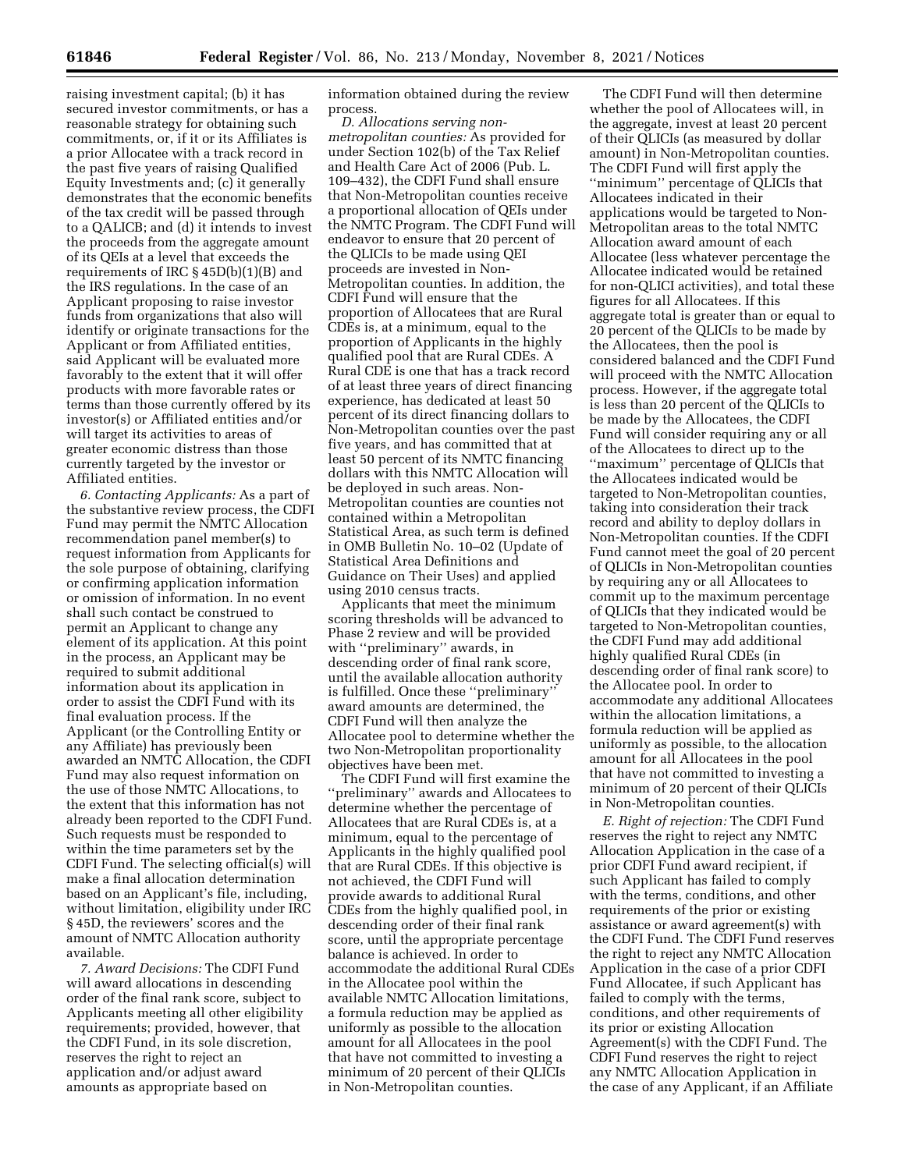raising investment capital; (b) it has secured investor commitments, or has a reasonable strategy for obtaining such commitments, or, if it or its Affiliates is a prior Allocatee with a track record in the past five years of raising Qualified Equity Investments and; (c) it generally demonstrates that the economic benefits of the tax credit will be passed through to a QALICB; and (d) it intends to invest the proceeds from the aggregate amount of its QEIs at a level that exceeds the requirements of IRC § 45D(b)(1)(B) and the IRS regulations. In the case of an Applicant proposing to raise investor funds from organizations that also will identify or originate transactions for the Applicant or from Affiliated entities, said Applicant will be evaluated more favorably to the extent that it will offer products with more favorable rates or terms than those currently offered by its investor(s) or Affiliated entities and/or will target its activities to areas of greater economic distress than those currently targeted by the investor or Affiliated entities.

*6. Contacting Applicants:* As a part of the substantive review process, the CDFI Fund may permit the NMTC Allocation recommendation panel member(s) to request information from Applicants for the sole purpose of obtaining, clarifying or confirming application information or omission of information. In no event shall such contact be construed to permit an Applicant to change any element of its application. At this point in the process, an Applicant may be required to submit additional information about its application in order to assist the CDFI Fund with its final evaluation process. If the Applicant (or the Controlling Entity or any Affiliate) has previously been awarded an NMTC Allocation, the CDFI Fund may also request information on the use of those NMTC Allocations, to the extent that this information has not already been reported to the CDFI Fund. Such requests must be responded to within the time parameters set by the CDFI Fund. The selecting official(s) will make a final allocation determination based on an Applicant's file, including, without limitation, eligibility under IRC § 45D, the reviewers' scores and the amount of NMTC Allocation authority available.

*7. Award Decisions:* The CDFI Fund will award allocations in descending order of the final rank score, subject to Applicants meeting all other eligibility requirements; provided, however, that the CDFI Fund, in its sole discretion, reserves the right to reject an application and/or adjust award amounts as appropriate based on

information obtained during the review process.

*D. Allocations serving nonmetropolitan counties:* As provided for under Section 102(b) of the Tax Relief and Health Care Act of 2006 (Pub. L. 109–432), the CDFI Fund shall ensure that Non-Metropolitan counties receive a proportional allocation of QEIs under the NMTC Program. The CDFI Fund will endeavor to ensure that 20 percent of the QLICIs to be made using QEI proceeds are invested in Non-Metropolitan counties. In addition, the CDFI Fund will ensure that the proportion of Allocatees that are Rural CDEs is, at a minimum, equal to the proportion of Applicants in the highly qualified pool that are Rural CDEs. A Rural CDE is one that has a track record of at least three years of direct financing experience, has dedicated at least 50 percent of its direct financing dollars to Non-Metropolitan counties over the past five years, and has committed that at least 50 percent of its NMTC financing dollars with this NMTC Allocation will be deployed in such areas. Non-Metropolitan counties are counties not contained within a Metropolitan Statistical Area, as such term is defined in OMB Bulletin No. 10–02 (Update of Statistical Area Definitions and Guidance on Their Uses) and applied using 2010 census tracts.

Applicants that meet the minimum scoring thresholds will be advanced to Phase 2 review and will be provided with ''preliminary'' awards, in descending order of final rank score, until the available allocation authority is fulfilled. Once these ''preliminary'' award amounts are determined, the CDFI Fund will then analyze the Allocatee pool to determine whether the two Non-Metropolitan proportionality objectives have been met.

The CDFI Fund will first examine the ''preliminary'' awards and Allocatees to determine whether the percentage of Allocatees that are Rural CDEs is, at a minimum, equal to the percentage of Applicants in the highly qualified pool that are Rural CDEs. If this objective is not achieved, the CDFI Fund will provide awards to additional Rural CDEs from the highly qualified pool, in descending order of their final rank score, until the appropriate percentage balance is achieved. In order to accommodate the additional Rural CDEs in the Allocatee pool within the available NMTC Allocation limitations, a formula reduction may be applied as uniformly as possible to the allocation amount for all Allocatees in the pool that have not committed to investing a minimum of 20 percent of their QLICIs in Non-Metropolitan counties.

The CDFI Fund will then determine whether the pool of Allocatees will, in the aggregate, invest at least 20 percent of their QLICIs (as measured by dollar amount) in Non-Metropolitan counties. The CDFI Fund will first apply the ''minimum'' percentage of QLICIs that Allocatees indicated in their applications would be targeted to Non-Metropolitan areas to the total NMTC Allocation award amount of each Allocatee (less whatever percentage the Allocatee indicated would be retained for non-QLICI activities), and total these figures for all Allocatees. If this aggregate total is greater than or equal to 20 percent of the QLICIs to be made by the Allocatees, then the pool is considered balanced and the CDFI Fund will proceed with the NMTC Allocation process. However, if the aggregate total is less than 20 percent of the QLICIs to be made by the Allocatees, the CDFI Fund will consider requiring any or all of the Allocatees to direct up to the ''maximum'' percentage of QLICIs that the Allocatees indicated would be targeted to Non-Metropolitan counties, taking into consideration their track record and ability to deploy dollars in Non-Metropolitan counties. If the CDFI Fund cannot meet the goal of 20 percent of QLICIs in Non-Metropolitan counties by requiring any or all Allocatees to commit up to the maximum percentage of QLICIs that they indicated would be targeted to Non-Metropolitan counties, the CDFI Fund may add additional highly qualified Rural CDEs (in descending order of final rank score) to the Allocatee pool. In order to accommodate any additional Allocatees within the allocation limitations, a formula reduction will be applied as uniformly as possible, to the allocation amount for all Allocatees in the pool that have not committed to investing a minimum of 20 percent of their QLICIs in Non-Metropolitan counties.

*E. Right of rejection:* The CDFI Fund reserves the right to reject any NMTC Allocation Application in the case of a prior CDFI Fund award recipient, if such Applicant has failed to comply with the terms, conditions, and other requirements of the prior or existing assistance or award agreement(s) with the CDFI Fund. The CDFI Fund reserves the right to reject any NMTC Allocation Application in the case of a prior CDFI Fund Allocatee, if such Applicant has failed to comply with the terms, conditions, and other requirements of its prior or existing Allocation Agreement(s) with the CDFI Fund. The CDFI Fund reserves the right to reject any NMTC Allocation Application in the case of any Applicant, if an Affiliate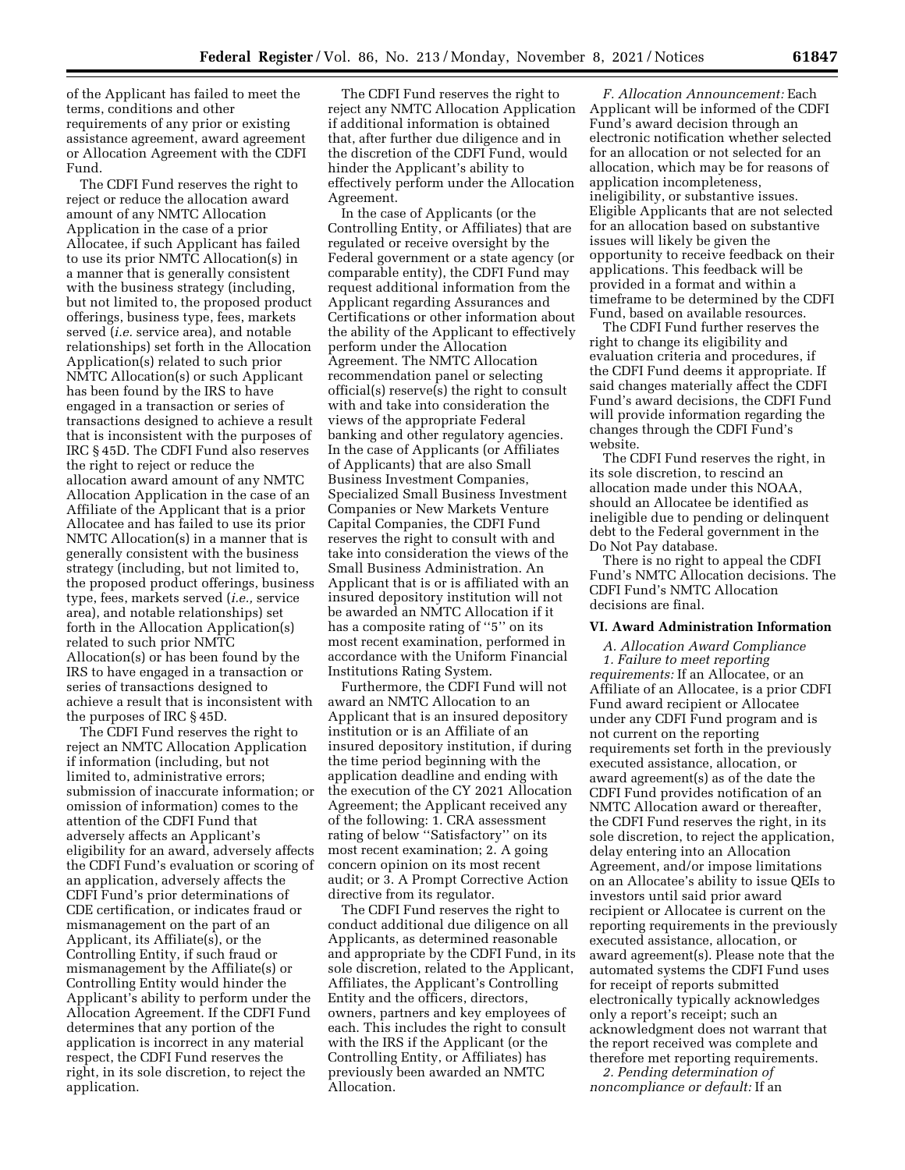of the Applicant has failed to meet the terms, conditions and other requirements of any prior or existing assistance agreement, award agreement or Allocation Agreement with the CDFI Fund.

The CDFI Fund reserves the right to reject or reduce the allocation award amount of any NMTC Allocation Application in the case of a prior Allocatee, if such Applicant has failed to use its prior NMTC Allocation(s) in a manner that is generally consistent with the business strategy (including, but not limited to, the proposed product offerings, business type, fees, markets served (*i.e.* service area), and notable relationships) set forth in the Allocation Application(s) related to such prior NMTC Allocation(s) or such Applicant has been found by the IRS to have engaged in a transaction or series of transactions designed to achieve a result that is inconsistent with the purposes of IRC § 45D. The CDFI Fund also reserves the right to reject or reduce the allocation award amount of any NMTC Allocation Application in the case of an Affiliate of the Applicant that is a prior Allocatee and has failed to use its prior NMTC Allocation(s) in a manner that is generally consistent with the business strategy (including, but not limited to, the proposed product offerings, business type, fees, markets served (*i.e.,* service area), and notable relationships) set forth in the Allocation Application(s) related to such prior NMTC Allocation(s) or has been found by the IRS to have engaged in a transaction or series of transactions designed to achieve a result that is inconsistent with the purposes of IRC § 45D.

The CDFI Fund reserves the right to reject an NMTC Allocation Application if information (including, but not limited to, administrative errors; submission of inaccurate information; or omission of information) comes to the attention of the CDFI Fund that adversely affects an Applicant's eligibility for an award, adversely affects the CDFI Fund's evaluation or scoring of an application, adversely affects the CDFI Fund's prior determinations of CDE certification, or indicates fraud or mismanagement on the part of an Applicant, its Affiliate(s), or the Controlling Entity, if such fraud or mismanagement by the Affiliate(s) or Controlling Entity would hinder the Applicant's ability to perform under the Allocation Agreement. If the CDFI Fund determines that any portion of the application is incorrect in any material respect, the CDFI Fund reserves the right, in its sole discretion, to reject the application.

The CDFI Fund reserves the right to reject any NMTC Allocation Application if additional information is obtained that, after further due diligence and in the discretion of the CDFI Fund, would hinder the Applicant's ability to effectively perform under the Allocation Agreement.

In the case of Applicants (or the Controlling Entity, or Affiliates) that are regulated or receive oversight by the Federal government or a state agency (or comparable entity), the CDFI Fund may request additional information from the Applicant regarding Assurances and Certifications or other information about the ability of the Applicant to effectively perform under the Allocation Agreement. The NMTC Allocation recommendation panel or selecting official(s) reserve(s) the right to consult with and take into consideration the views of the appropriate Federal banking and other regulatory agencies. In the case of Applicants (or Affiliates of Applicants) that are also Small Business Investment Companies, Specialized Small Business Investment Companies or New Markets Venture Capital Companies, the CDFI Fund reserves the right to consult with and take into consideration the views of the Small Business Administration. An Applicant that is or is affiliated with an insured depository institution will not be awarded an NMTC Allocation if it has a composite rating of "5" on its most recent examination, performed in accordance with the Uniform Financial Institutions Rating System.

Furthermore, the CDFI Fund will not award an NMTC Allocation to an Applicant that is an insured depository institution or is an Affiliate of an insured depository institution, if during the time period beginning with the application deadline and ending with the execution of the CY 2021 Allocation Agreement; the Applicant received any of the following: 1. CRA assessment rating of below ''Satisfactory'' on its most recent examination; 2. A going concern opinion on its most recent audit; or 3. A Prompt Corrective Action directive from its regulator.

The CDFI Fund reserves the right to conduct additional due diligence on all Applicants, as determined reasonable and appropriate by the CDFI Fund, in its sole discretion, related to the Applicant, Affiliates, the Applicant's Controlling Entity and the officers, directors, owners, partners and key employees of each. This includes the right to consult with the IRS if the Applicant (or the Controlling Entity, or Affiliates) has previously been awarded an NMTC Allocation.

*F. Allocation Announcement:* Each Applicant will be informed of the CDFI Fund's award decision through an electronic notification whether selected for an allocation or not selected for an allocation, which may be for reasons of application incompleteness, ineligibility, or substantive issues. Eligible Applicants that are not selected for an allocation based on substantive issues will likely be given the opportunity to receive feedback on their applications. This feedback will be provided in a format and within a timeframe to be determined by the CDFI Fund, based on available resources.

The CDFI Fund further reserves the right to change its eligibility and evaluation criteria and procedures, if the CDFI Fund deems it appropriate. If said changes materially affect the CDFI Fund's award decisions, the CDFI Fund will provide information regarding the changes through the CDFI Fund's website.

The CDFI Fund reserves the right, in its sole discretion, to rescind an allocation made under this NOAA, should an Allocatee be identified as ineligible due to pending or delinquent debt to the Federal government in the Do Not Pay database.

There is no right to appeal the CDFI Fund's NMTC Allocation decisions. The CDFI Fund's NMTC Allocation decisions are final.

## **VI. Award Administration Information**

*A. Allocation Award Compliance 1. Failure to meet reporting requirements:* If an Allocatee, or an Affiliate of an Allocatee, is a prior CDFI Fund award recipient or Allocatee under any CDFI Fund program and is not current on the reporting requirements set forth in the previously executed assistance, allocation, or award agreement(s) as of the date the CDFI Fund provides notification of an NMTC Allocation award or thereafter, the CDFI Fund reserves the right, in its sole discretion, to reject the application, delay entering into an Allocation Agreement, and/or impose limitations on an Allocatee's ability to issue QEIs to investors until said prior award recipient or Allocatee is current on the reporting requirements in the previously executed assistance, allocation, or award agreement(s). Please note that the automated systems the CDFI Fund uses for receipt of reports submitted electronically typically acknowledges only a report's receipt; such an acknowledgment does not warrant that the report received was complete and therefore met reporting requirements.

*2. Pending determination of noncompliance or default:* If an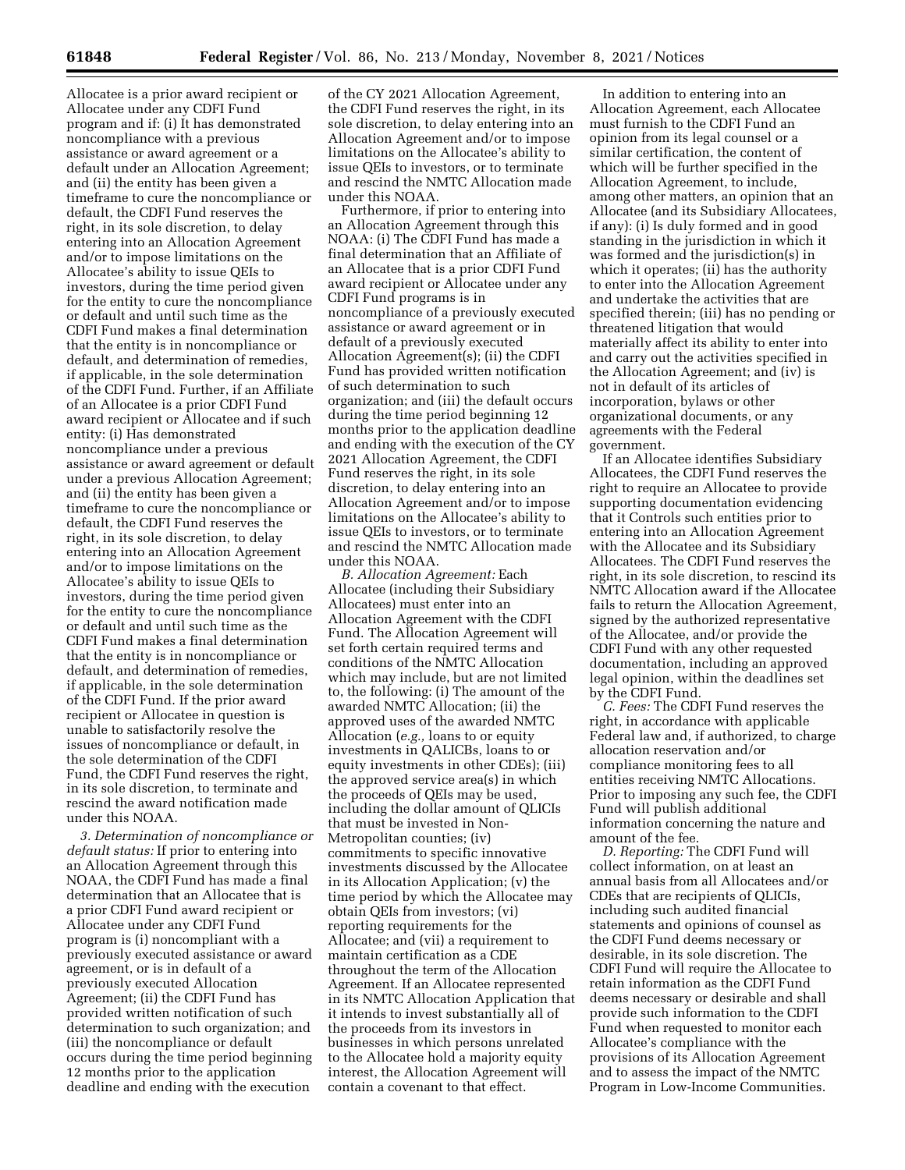Allocatee is a prior award recipient or Allocatee under any CDFI Fund program and if: (i) It has demonstrated noncompliance with a previous assistance or award agreement or a default under an Allocation Agreement; and (ii) the entity has been given a timeframe to cure the noncompliance or default, the CDFI Fund reserves the right, in its sole discretion, to delay entering into an Allocation Agreement and/or to impose limitations on the Allocatee's ability to issue QEIs to investors, during the time period given for the entity to cure the noncompliance or default and until such time as the CDFI Fund makes a final determination that the entity is in noncompliance or default, and determination of remedies, if applicable, in the sole determination of the CDFI Fund. Further, if an Affiliate of an Allocatee is a prior CDFI Fund award recipient or Allocatee and if such entity: (i) Has demonstrated noncompliance under a previous assistance or award agreement or default under a previous Allocation Agreement; and (ii) the entity has been given a timeframe to cure the noncompliance or default, the CDFI Fund reserves the right, in its sole discretion, to delay entering into an Allocation Agreement and/or to impose limitations on the Allocatee's ability to issue QEIs to investors, during the time period given for the entity to cure the noncompliance or default and until such time as the CDFI Fund makes a final determination that the entity is in noncompliance or default, and determination of remedies, if applicable, in the sole determination of the CDFI Fund. If the prior award recipient or Allocatee in question is unable to satisfactorily resolve the issues of noncompliance or default, in the sole determination of the CDFI Fund, the CDFI Fund reserves the right, in its sole discretion, to terminate and rescind the award notification made under this NOAA.

*3. Determination of noncompliance or default status:* If prior to entering into an Allocation Agreement through this NOAA, the CDFI Fund has made a final determination that an Allocatee that is a prior CDFI Fund award recipient or Allocatee under any CDFI Fund program is (i) noncompliant with a previously executed assistance or award agreement, or is in default of a previously executed Allocation Agreement; (ii) the CDFI Fund has provided written notification of such determination to such organization; and (iii) the noncompliance or default occurs during the time period beginning 12 months prior to the application deadline and ending with the execution

of the CY 2021 Allocation Agreement, the CDFI Fund reserves the right, in its sole discretion, to delay entering into an Allocation Agreement and/or to impose limitations on the Allocatee's ability to issue QEIs to investors, or to terminate and rescind the NMTC Allocation made under this NOAA.

Furthermore, if prior to entering into an Allocation Agreement through this NOAA: (i) The CDFI Fund has made a final determination that an Affiliate of an Allocatee that is a prior CDFI Fund award recipient or Allocatee under any CDFI Fund programs is in noncompliance of a previously executed assistance or award agreement or in default of a previously executed Allocation Agreement(s); (ii) the CDFI Fund has provided written notification of such determination to such organization; and (iii) the default occurs during the time period beginning 12 months prior to the application deadline and ending with the execution of the CY 2021 Allocation Agreement, the CDFI Fund reserves the right, in its sole discretion, to delay entering into an Allocation Agreement and/or to impose limitations on the Allocatee's ability to issue QEIs to investors, or to terminate and rescind the NMTC Allocation made under this NOAA.

*B. Allocation Agreement:* Each Allocatee (including their Subsidiary Allocatees) must enter into an Allocation Agreement with the CDFI Fund. The Allocation Agreement will set forth certain required terms and conditions of the NMTC Allocation which may include, but are not limited to, the following: (i) The amount of the awarded NMTC Allocation; (ii) the approved uses of the awarded NMTC Allocation (*e.g.,* loans to or equity investments in QALICBs, loans to or equity investments in other CDEs); (iii) the approved service area(s) in which the proceeds of QEIs may be used, including the dollar amount of QLICIs that must be invested in Non-Metropolitan counties; (iv) commitments to specific innovative investments discussed by the Allocatee in its Allocation Application; (v) the time period by which the Allocatee may obtain QEIs from investors; (vi) reporting requirements for the Allocatee; and (vii) a requirement to maintain certification as a CDE throughout the term of the Allocation Agreement. If an Allocatee represented in its NMTC Allocation Application that it intends to invest substantially all of the proceeds from its investors in businesses in which persons unrelated to the Allocatee hold a majority equity interest, the Allocation Agreement will contain a covenant to that effect.

In addition to entering into an Allocation Agreement, each Allocatee must furnish to the CDFI Fund an opinion from its legal counsel or a similar certification, the content of which will be further specified in the Allocation Agreement, to include, among other matters, an opinion that an Allocatee (and its Subsidiary Allocatees, if any): (i) Is duly formed and in good standing in the jurisdiction in which it was formed and the jurisdiction(s) in which it operates; (ii) has the authority to enter into the Allocation Agreement and undertake the activities that are specified therein; (iii) has no pending or threatened litigation that would materially affect its ability to enter into and carry out the activities specified in the Allocation Agreement; and (iv) is not in default of its articles of incorporation, bylaws or other organizational documents, or any agreements with the Federal government.

If an Allocatee identifies Subsidiary Allocatees, the CDFI Fund reserves the right to require an Allocatee to provide supporting documentation evidencing that it Controls such entities prior to entering into an Allocation Agreement with the Allocatee and its Subsidiary Allocatees. The CDFI Fund reserves the right, in its sole discretion, to rescind its NMTC Allocation award if the Allocatee fails to return the Allocation Agreement, signed by the authorized representative of the Allocatee, and/or provide the CDFI Fund with any other requested documentation, including an approved legal opinion, within the deadlines set by the CDFI Fund.

*C. Fees:* The CDFI Fund reserves the right, in accordance with applicable Federal law and, if authorized, to charge allocation reservation and/or compliance monitoring fees to all entities receiving NMTC Allocations. Prior to imposing any such fee, the CDFI Fund will publish additional information concerning the nature and amount of the fee.

*D. Reporting:* The CDFI Fund will collect information, on at least an annual basis from all Allocatees and/or CDEs that are recipients of QLICIs, including such audited financial statements and opinions of counsel as the CDFI Fund deems necessary or desirable, in its sole discretion. The CDFI Fund will require the Allocatee to retain information as the CDFI Fund deems necessary or desirable and shall provide such information to the CDFI Fund when requested to monitor each Allocatee's compliance with the provisions of its Allocation Agreement and to assess the impact of the NMTC Program in Low-Income Communities.